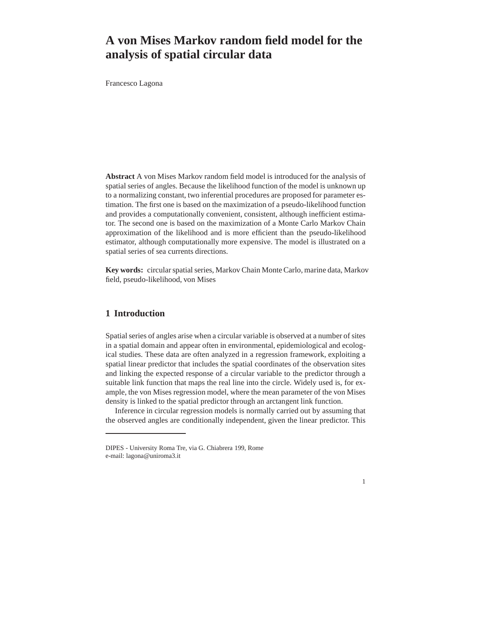# **A von Mises Markov random field model for the analysis of spatial circular data**

Francesco Lagona

**Abstract** A von Mises Markov random field model is introduced for the analysis of spatial series of angles. Because the likelihood function of the model is unknown up to a normalizing constant, two inferential procedures are proposed for parameter estimation. The first one is based on the maximization of a pseudo-likelihood function and provides a computationally convenient, consistent, although inefficient estimator. The second one is based on the maximization of a Monte Carlo Markov Chain approximation of the likelihood and is more efficient than the pseudo-likelihood estimator, although computationally more expensive. The model is illustrated on a spatial series of sea currents directions.

**Key words:** circular spatial series, Markov Chain Monte Carlo, marine data, Markov field, pseudo-likelihood, von Mises

# **1 Introduction**

Spatial series of angles arise when a circular variable is observed at a number of sites in a spatial domain and appear often in environmental, epidemiological and ecological studies. These data are often analyzed in a regression framework, exploiting a spatial linear predictor that includes the spatial coordinates of the observation sites and linking the expected response of a circular variable to the predictor through a suitable link function that maps the real line into the circle. Widely used is, for example, the von Mises regression model, where the mean parameter of the von Mises density is linked to the spatial predictor through an arctangent link function.

Inference in circular regression models is normally carried out by assuming that the observed angles are conditionally independent, given the linear predictor. This



DIPES - University Roma Tre, via G. Chiabrera 199, Rome e-mail: lagona@uniroma3.it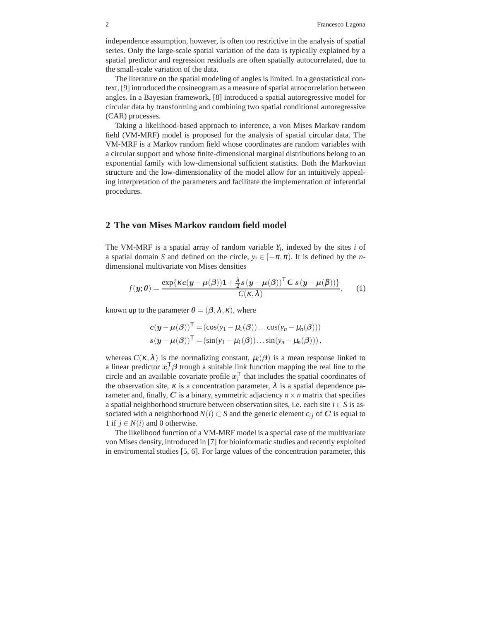independence assumption, however, is often too restrictive in the analysis of spatial series. Only the large-scale spatial variation of the data is typically explained by a spatial predictor and regression residuals are often spatially autocorrelated, due to the small-scale variation of the data.

The literature on the spatial modeling of angles is limited. In a geostatistical context, [9] introduced the cosineogram as a measure of spatial autocorrelation between angles. In a Bayesian framework, [8] introduced a spatial autoregressive model for circular data by transforming and combining two spatial conditional autoregressive (CAR) processes.

Taking a likelihood-based approach to inference, a von Mises Markov random field (VM-MRF) model is proposed for the analysis of spatial circular data. The VM-MRF is a Markov random field whose coordinates are random variables with a circular support and whose finite-dimensional marginal distributions belong to an exponential family with low-dimensional sufficient statistics. Both the Markovian structure and the low-dimensionality of the model allow for an intuitively appealing interpretation of the parameters and facilitate the implementation of inferential procedures.

#### **2 The von Mises Markov random field model**

The VM-MRF is a spatial array of random variable  $Y_i$ , indexed by the sites  $i$  of a spatial domain *S* and defined on the circle,  $y_i \in [-\pi,\pi)$ . It is defined by the *n*dimensional multivariate von Mises densities

$$
f(\mathbf{y};\boldsymbol{\theta}) = \frac{\exp\{\kappa c(\mathbf{y} - \boldsymbol{\mu}(\boldsymbol{\beta}))\mathbf{1} + \frac{\lambda}{2}s(\mathbf{y} - \boldsymbol{\mu}(\boldsymbol{\beta}))^{\mathsf{T}}\mathbf{C}s(\mathbf{y} - \boldsymbol{\mu}(\boldsymbol{\beta}))\}}{C(\kappa,\lambda)},
$$
 (1)

known up to the parameter  $\theta = (\beta, \lambda, \kappa)$ , where

$$
c(y - \mu(\beta))^{\mathsf{T}} = (\cos(y_1 - \mu_1(\beta)) \dots \cos(y_n - \mu_n(\beta)))
$$
  

$$
s(y - \mu(\beta))^{\mathsf{T}} = (\sin(y_1 - \mu_1(\beta)) \dots \sin(y_n - \mu_n(\beta))),
$$

whereas  $C(\kappa, \lambda)$  is the normalizing constant,  $\mu_i(\beta)$  is a mean response linked to a linear predictor  $x_i^T \beta$  trough a suitable link function mapping the real line to the circle and an available covariate profile  $x_i^{\mathsf{T}}$  $i<sub>i</sub>$  that includes the spatial coordinates of the observation site,  $\kappa$  is a concentration parameter,  $\lambda$  is a spatial dependence parameter and, finally, C is a binary, symmetric adjaciency  $n \times n$  matrix that specifies a spatial neighborhood structure between observation sites, i.e. each site  $i \in S$  is associated with a neighborhood  $N(i) \subset S$  and the generic element  $c_{ij}$  of C is equal to 1 if  $j \in N(i)$  and 0 otherwise.

The likelihood function of a VM-MRF model is a special case of the multivariate von Mises density, introduced in [7] for bioinformatic studies and recently exploited in enviromental studies [5, 6]. For large values of the concentration parameter, this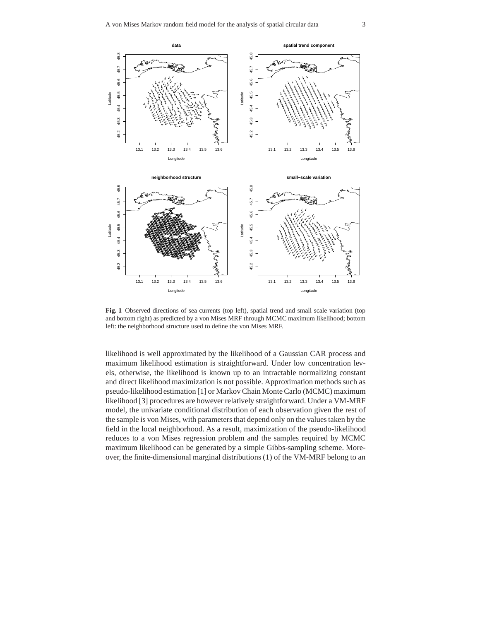

**Fig. 1** Observed directions of sea currents (top left), spatial trend and small scale variation (top and bottom right) as predicted by a von Mises MRF through MCMC maximum likelihood; bottom left: the neighborhood structure used to define the von Mises MRF.

likelihood is well approximated by the likelihood of a Gaussian CAR process and maximum likelihood estimation is straightforward. Under low concentration levels, otherwise, the likelihood is known up to an intractable normalizing constant and direct likelihood maximization is not possible. Approximation methods such as pseudo-likelihood estimation [1] or Markov Chain Monte Carlo (MCMC) maximum likelihood [3] procedures are however relatively straightforward. Under a VM-MRF model, the univariate conditional distribution of each observation given the rest of the sample is von Mises, with parameters that depend only on the values taken by the field in the local neighborhood. As a result, maximization of the pseudo-likelihood reduces to a von Mises regression problem and the samples required by MCMC maximum likelihood can be generated by a simple Gibbs-sampling scheme. Moreover, the finite-dimensional marginal distributions (1) of the VM-MRF belong to an